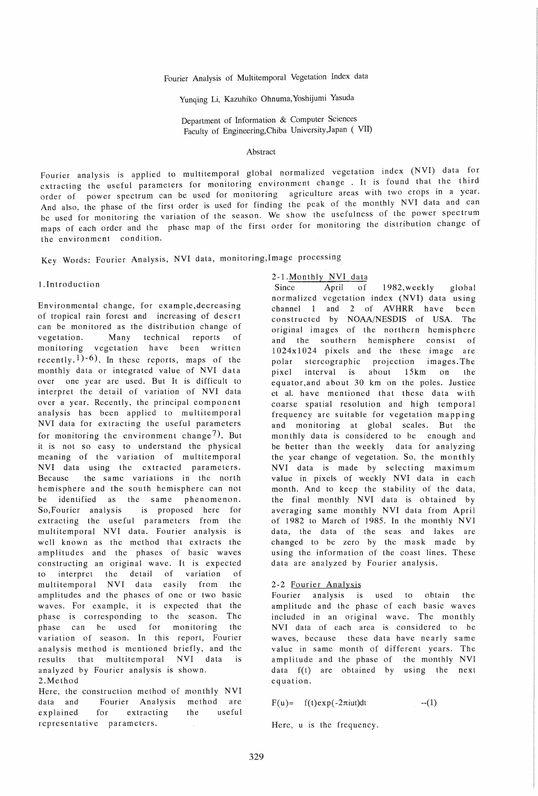Fourier Analysis of Multitemporal Vegetation Index data

Yunqing Li, Kazuhiko Ohnuma, Yoshijumi Yasuda

Department of Information & Computer Sciences Faculty of Engineering,Chiba University,Japan ( VII)

#### Abstract

Fourier analysis is applied to multitemporal global normalized vegetation index (NVI) data for extracting the useful parameters for monitoring environment change. It is found that the third order of power spectrum can be used for monitoring agriculture areas with two crops in a year. And also, the phase of the first order is used for finding the peak of the monthly NVI data and can be used for monitoring the variation of the season. We show the usefulness of the power spectrum maps of each order and the phase map of the first order for monitoring the distribution change of the environment condition.

Key Words: Fourier Analysis, NVI data, monitoring,Image processing

#### l.Introduction

Environmental change, for example,decreasing of tropical rain forest and increasing of desert can be monitored as the distribution change of vegetation. Many technical reports of monitoring vegetation have been written recently.<sup>1</sup>) $-6$ ). In these reports, maps of the monthly data or integrated value of NVI data over one year are used. But It is difficult to interpret the detail of variation of NVI data over a year. Recently, the principal component analysis has been applied to multitemporal NVI data for extracting the useful parameters for monitoring the environment change<sup>7</sup>). But it is not so easy to understand the physical meaning of the variation of multitemporal NVI data using the extracted parameters. Because the same variations in the north hemis phere and the south hemisphere can not be identified as the same phenomenon. So,Fourier analysis is proposed here for extracting the useful parameters from the multitemporal NVI data. Fourier analysis is well known as the method that extracts the amplitudes and the phases of basic waves constructing an original wave. It is expected to interpret the detail of variation of multitemporal NVI data easily from the amplitudes and the phases of one or two basic waves. For example, it is expected that the phase is corresponding to the season. The phase can be used for monitoring the variation of season. In this report, Fourier analysis method is mentioned briefly, and the results that multitemporal NVI data is analyzed by Fourier analysis is shown. 2.Method

Here, the construction method of monthly NVI data and Fourier Analysis method are explained for extracting the useful representative parameters.

### 2-1.Monthly NVI data

Since April of 1982, weekly global normalized vegetation index (NVI) data using channel 1 and 2 of AVHRR have been constructed by NOAA/NESDIS of USA. The original images of the northern hemisphere and the southern hemisphere consist of 1024x1024 pixels and the these image are polar stereographic projection images. The pixel interval is about 15km on the equator,and about 30 km on the poles. Justice et al. have mentioned that these data with coarse spatial resolution and high temporal frequency are suitable for vegetation mapping and monitoring at global scales. But the mon thly data is considered to be enough and be better than the weekly data for analyzing the year change of vegetation. So, the monthly NVI data is made by selecting maximum value in pixels of weekly NVI data in each month. And to keep the stability of the data, the final monthly NVI data is obtained by averaging same monthly NVI data from April of 1982 to March of 1985. In the monthly NVI data, the data of the seas and lakes are changed to be zero by the mask made by using the information of the coast lines. These data are analyzed by Fourier analysis.

#### 2-2 Fourier Analysis

Fourier analysis is used to obtain the amplitude and the phase of each basic waves included in an original wave. The monthly NVI data of each area is considered to be waves, because these data have nearly same value in same month of different years. The amplitude and the phase of the monthly NVI data f(t) are obtained by using the next equation.

 $F(u) = f(t)exp(-2\pi iut)dt$  --(1)

Here, u is the frequency.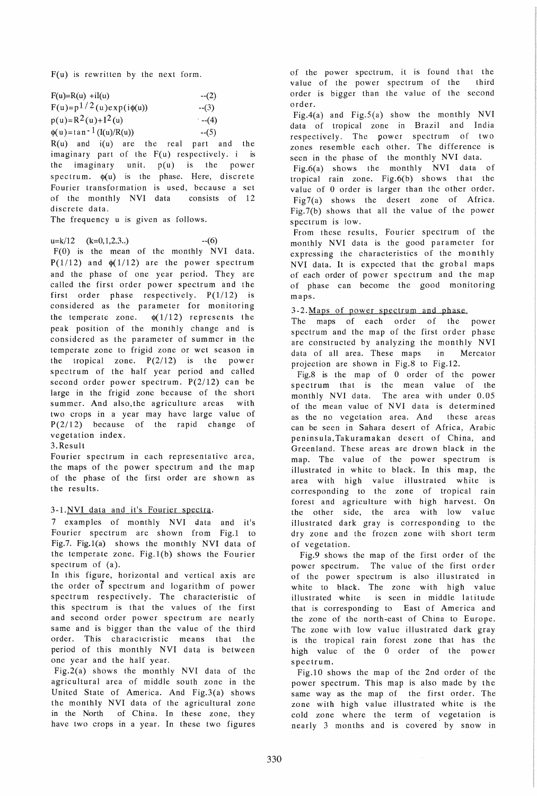$F(u)$  is rewritten by the next form.

| $F(u)=R(u) +iI(u)$               | $-(2)$              |
|----------------------------------|---------------------|
| $F(u)=p^{1/2}(u)exp(i\phi(u))$   | $-(3)$              |
| $p(u)=R^2(u)+I^2(u)$             | $-(-4)$             |
| $\phi(u) = \tan^{-1}(I(u)/R(u))$ | $-(5)$              |
| $R(u)$ and $i(u)$ are<br>the.    | real<br>nart<br>and |

 $R(u)$  and  $i(u)$  are the real part and the imaginary part of the F(u) respectively. i is the imaginary unit. p(u) is the power spectrum.  $\phi(u)$  is the phase. Here, discrete Fourier transformation is used, because a set of the monthly NVI data consists of 12 discrete data.

The frequency u is given as follows.

 $u=k/12$   $(k=0,1,2,3...)$  --(6) F(O) is the mean of the monthly NVI data.  $P(1/12)$  and  $\phi(1/12)$  are the power spectrum and the phase of one year period. They are called the first order power spectrum and the first order phase respectively.  $P(1/12)$  is considered as the parameter for monitoring the temperate zone.  $\phi(1/12)$  represents the peak position of the monthly change and is considered as the parameter of summer in the temperate zone to frigid zone or wet season in the tropical zone.  $P(2/12)$  is the power spectrum of the half year period and called second order power spectrum.  $P(2/12)$  can be large in the frigid zone because of the short summer. And also,the agriculture areas with two crops in a year may have large value of P(2/12) because of the rapid change of vegetation index.

### 3.Result

Fourier spectrum in each representative area, the maps of the power spectrum and the map of the phase of the first order are shown as the results.

# 3-1.NVI data and it's Fourier spectra.

7 examples of monthly NVI data and it's Fourier spectrum are shown from Fig.1 to Fig.7. Fig.1(a) shows the monthly NVI data of the temperate zone. Fig.1(b) shows the Fourier spectrum of (a).

In this figure, horizontal and vertical axis are the order of spectrum and logarithm of power spectrum respectively. The characteristic of this spectrum is that the values of the first and second order power spectrum are nearly same and is bigger than the value of the third order. This characteristic means that the period of this monthly NVI data is between one year and the half year.

Fig.2(a) shows the monthly NYI data of the agricultural area of middle south zone in the United State of America. And Fig.3(a) shows the monthly NVI data of the agricultural zone in the North of China. In these zone, they have two crops in a year. In these two figures of the power spectrum, it is found that the value of the power spectrum of the third order is bigger than the value of the second order.

Fig.4(a) and Fig.5(a) show the monthly NVI data of tropical zone in Brazil and India respectively. The power spectrum of two zones resemble each other. The difference is seen in the phase of the monthly NVI data.

Fig.6(a) shows the monthly NVI data of tropical rain zone. Fig.6(b) shows that the value of 0 order is larger than the other order. Fig7(a) shows the desert zone of Africa. Fig. 7(b) shows that all the value of the power spectrum is low.

From these results, Fourier spectrum of the monthly NVI data is the good parameter for expressing the characteristics of the monthly NVI data. It is expected that the grobal maps of each order of power spectrum and the map of phase can become the good monitoring maps.

# 3-2. Maps of power spectrum and phase.

The maps of each order of the power spectrum and the map of the first order phase are constructed by analyzing the monthly NYI data of all area. These maps in Mercator projection are shown in Fig.S to Fig.12.

Fig.8 is the map of 0 order of the power spectrum that is the mean value of the monthly NVI data. The area with under 0.05 of the mean value of NVI data is determined as the no vegetation area. And these areas can be seen in Sahara desert of Africa, Arabic peninsula, Takuramakan desert of China, and Greenland. These areas are drown black in the map. The value of the power spectrum is illustrated in white to black. In this map, the area with high value illustrated white is corresponding to the zone of tropical rain forest and agriculture with high harvest. On the other side, the area with low value illustrated dark gray is corresponding to the dry zone and the frozen zone with short term of vegetation.

Fig.9 shows the map of the first order of the power spectrum. The value of the first order of the power spectrum is also illustrated in white to black. The zone with high value illustrated white is seen in middle latitude that is corresponding to East of America and the zone of the north-east of China to Europe. The zone with low value illustrated dark gray is the tropical rain forest zone that has the high value of the 0 order of the power spectrum.

Fig.10 shows the map of the 2nd order of the power spectrum. This map is also made by the same way as the map of the first order. The zone with high value illustrated white is the cold zone where the term of vegetation is nearly 3 months and is covered' by snow in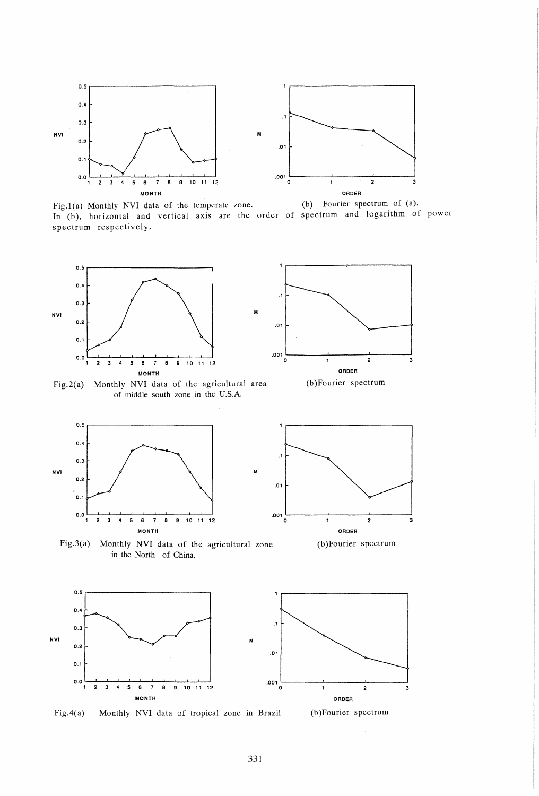

Fig.1(a) Monthly NVI data of the temperate zone. (b) Fourier spectrum of (a). In (b), horizontal and vertical axis are the order of spectrum and logarithm of power spectrum respectively.

.1



Fig.2(a) Monthly NVI data of the agricultural area of middle south zone in the U.S.A.



.1 .01  $\overline{\phantom{a}}$  001  $\overline{\phantom{a}}$ o <sup>2</sup> ORDER (b)Fourier spectrum

Fig.3(a) Monthly NVI data of the agricultural zone in the North of China.



Fig.4(a) Monthly NVI data of tropical zone in Brazil (b)Fourier spectrum



3

.001 '--\_\_\_ --1 \_\_\_\_ -'-\_\_\_ --'

o 2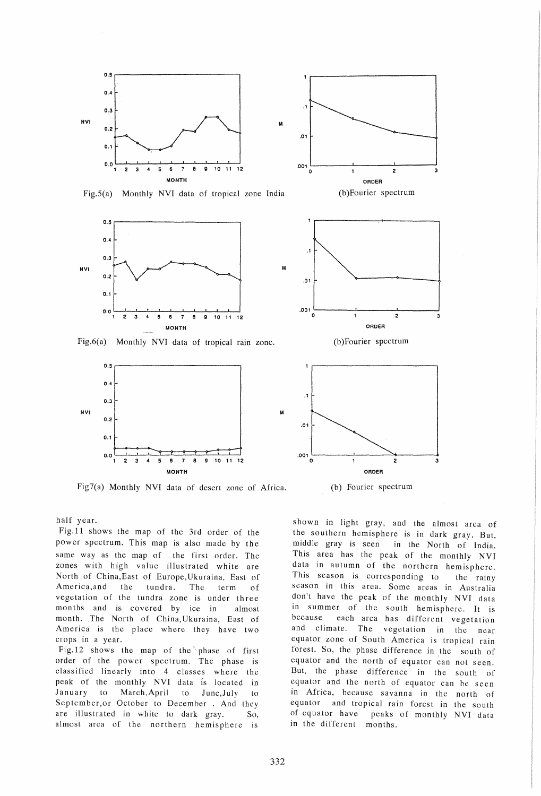

Fig.S(a) Monthly NVI data of tropical zone India



Fig.6(a) Monthly NVI data of tropical rain zone.



Fig7(a) Monthly NVI data of desert zone of Africa.



M

M



(b)Fourier spectrum



half year.

Fig.II shows the map of the 3rd order of the power spectrum. This map is also made by the same way as the map of the first order. The zones with high value illustrated white are North of China, East of Europe, Ukuraina, East of America,and the tundra. The term of vegetation of the tundra zone is under three mon ths and is covered by ice in almost month. The North of China, Ukuraina, East of America is the place where they have two crops in a year.

Fig.12 shows the map of the phase of first order of the power spectrum. The phase is classified linearly into 4 classes where the peak of the monthly NVI data is located in January to March,April to June,July to September,or October to December . And they are illustrated in white to dark gray. So, almost area of the northern hemisphere is

shown in light gray, and the almost area of the southern hemisphere is in dark gray. But, middle gray is seen in the North of India. This area has the peak of the monthly NVI data in autumn of the northern hemisphere. This season is corresponding to the rainy season in this area. Some areas in Australia don't have the peak of the monthly NVI data in summer of the south hemisphere. It is because each area has different vegetation and climate. The vegetation in the near equator zone of South America is tropical rain forest. So, the phase difference in the south of equator and the north of equator can not seen. But, the phase difference in the south of equator and the north of equator can be seen in Africa, because savanna in the north of equator and tropical rain forest in the south of equator have peaks of monthly NVI data in the different months.